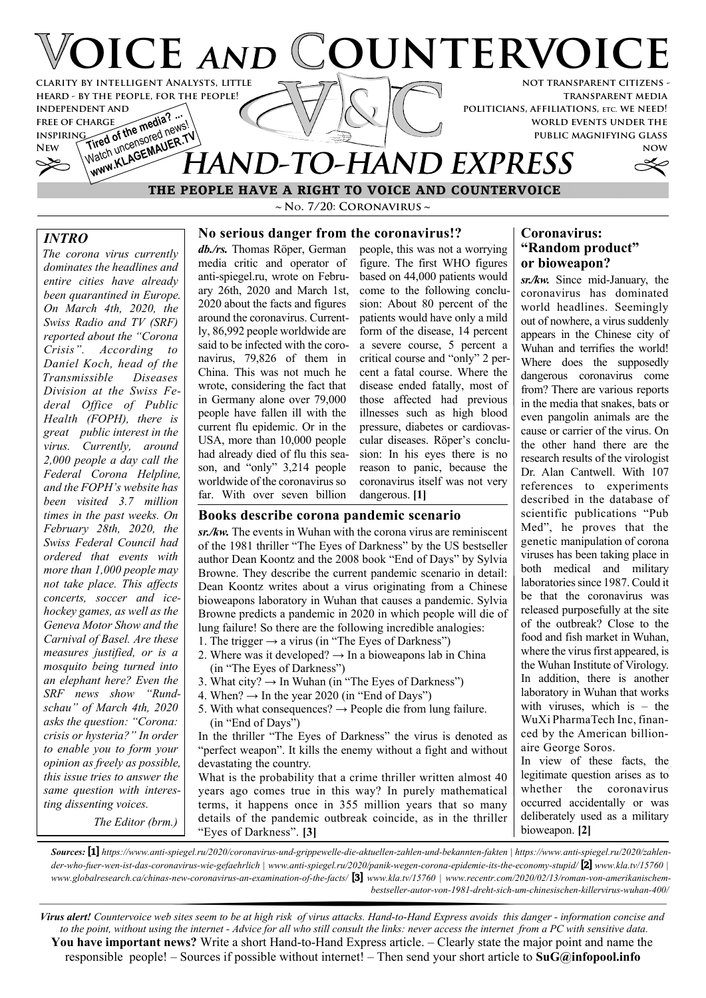

 **THE PEOPLE HAVE A RIGHT TO VOICE AND COUNTERVOICE**

**~ No. 7/20: Coronavirus ~**

## *INTRO*

*The corona virus currently dominates the headlines and entire cities have already been quarantined in Europe. On March 4th, 2020, the Swiss Radio and TV (SRF) reported about the "Corona Crisis". According to Daniel Koch, head of the Transmissible Diseases Division at the Swiss Federal Office of Public Health (FOPH), there is great public interest in the virus. Currently, around 2,000 people a day call the Federal Corona Helpline, and the FOPH's website has been visited 3.7 million times in the past weeks. On February 28th, 2020, the Swiss Federal Council had ordered that events with more than 1,000 people may not take place. This affects concerts, soccer and icehockey games, as well as the Geneva Motor Show and the Carnival of Basel. Are these measures justified, or is a mosquito being turned into an elephant here? Even the SRF news show "Rundschau" of March 4th, 2020 asks the question: "Corona: crisis or hysteria?" In order to enable you to form your opinion as freely as possible, this issue tries to answer the same question with interesting dissenting voices.*

**No serious danger from the coronavirus!?** *db./rs.* Thomas Röper, German media critic and operator of anti-spiegel.ru, wrote on February 26th, 2020 and March 1st, 2020 about the facts and figures around the coronavirus. Currently, 86,992 people worldwide are said to be infected with the coronavirus, 79,826 of them in China. This was not much he wrote, considering the fact that in Germany alone over 79,000 people have fallen ill with the current flu epidemic. Or in the USA, more than 10,000 people had already died of flu this season, and "only" 3,214 people worldwide of the coronavirus so far. With over seven billion

people, this was not a worrying figure. The first WHO figures based on 44,000 patients would come to the following conclusion: About 80 percent of the patients would have only a mild form of the disease, 14 percent a severe course, 5 percent a critical course and "only" 2 percent a fatal course. Where the disease ended fatally, most of those affected had previous illnesses such as high blood pressure, diabetes or cardiovascular diseases. Röper's conclusion: In his eyes there is no reason to panic, because the coronavirus itself was not very dangerous. **[1]**

#### **Books describe corona pandemic scenario**

*sr./kw.* The events in Wuhan with the corona virus are reminiscent of the 1981 thriller "The Eyes of Darkness" by the US bestseller author Dean Koontz and the 2008 book "End of Days" by Sylvia Browne. They describe the current pandemic scenario in detail: Dean Koontz writes about a virus originating from a Chinese bioweapons laboratory in Wuhan that causes a pandemic. Sylvia Browne predicts a pandemic in 2020 in which people will die of lung failure! So there are the following incredible analogies:

- 1. The trigger  $\rightarrow$  a virus (in "The Eyes of Darkness")
- 2. Where was it developed?  $\rightarrow$  In a bioweapons lab in China (in "The Eyes of Darkness")
- 3. What city?  $\rightarrow$  In Wuhan (in "The Eyes of Darkness")
- 4. When?  $\rightarrow$  In the year 2020 (in "End of Days")
- 5. With what consequences?  $\rightarrow$  People die from lung failure. (in "End of Days")

In the thriller "The Eyes of Darkness" the virus is denoted as "perfect weapon". It kills the enemy without a fight and without devastating the country.

What is the probability that a crime thriller written almost 40 years ago comes true in this way? In purely mathematical terms, it happens once in 355 million years that so many The Editor (brm.) details of the pandemic outbreak coincide, as in the thriller deliberately us<br>
"Eyes of Darkness". [3] "Eyes of Darkness". **[3]**

## **Coronavirus: "Random product" or bioweapon?**

*sr./kw.* Since mid-January, the coronavirus has dominated world headlines. Seemingly out of nowhere, a virus suddenly appears in the Chinese city of Wuhan and terrifies the world! Where does the supposedly dangerous coronavirus come from? There are various reports in the media that snakes, bats or even pangolin animals are the cause or carrier of the virus. On the other hand there are the research results of the virologist Dr. Alan Cantwell. With 107 references to experiments described in the database of scientific publications "Pub Med", he proves that the genetic manipulation of corona viruses has been taking place in both medical and military laboratories since 1987. Could it be that the coronavirus was released purposefully at the site of the outbreak? Close to the food and fish market in Wuhan, where the virus first appeared, is the Wuhan Institute of Virology. In addition, there is another laboratory in Wuhan that works with viruses, which is – the WuXi PharmaTech Inc, financed by the American billionaire George Soros.

In view of these facts, the legitimate question arises as to whether the coronavirus occurred accidentally or was deliberately used as a military

*Sources:* **[1]** *https://www.anti-spiegel.ru/2020/coronavirus-und-grippewelle-die-aktuellen-zahlen-und-bekannten-fakten | https://www.anti-spiegel.ru/2020/zahlender-who-fuer-wen-ist-das-coronavirus-wie-gefaehrlich | www.anti-spiegel.ru/2020/panik-wegen-corona-epidemie-its-the-economy-stupid/* **[2]** *www.kla.tv/15760 | www.globalresearch.ca/chinas-new-coronavirus-an-examination-of-the-facts/* **[3]** *www.kla.tv/15760 | www.recentr.com/2020/02/13/roman-von-amerikanischembestseller-autor-von-1981-dreht-sich-um-chinesischen-killervirus-wuhan-400/*

*Virus alert! Countervoice web sites seem to be at high risk of virus attacks. Hand-to-Hand Express avoids this danger - information concise and to the point, without using the internet - Advice for all who still consult the links: never access the internet from a PC with sensitive data.* **You have important news?** Write a short Hand-to-Hand Express article. – Clearly state the major point and name the responsible people! – Sources if possible without internet! – Then send your short article to **SuG@infopool.info**